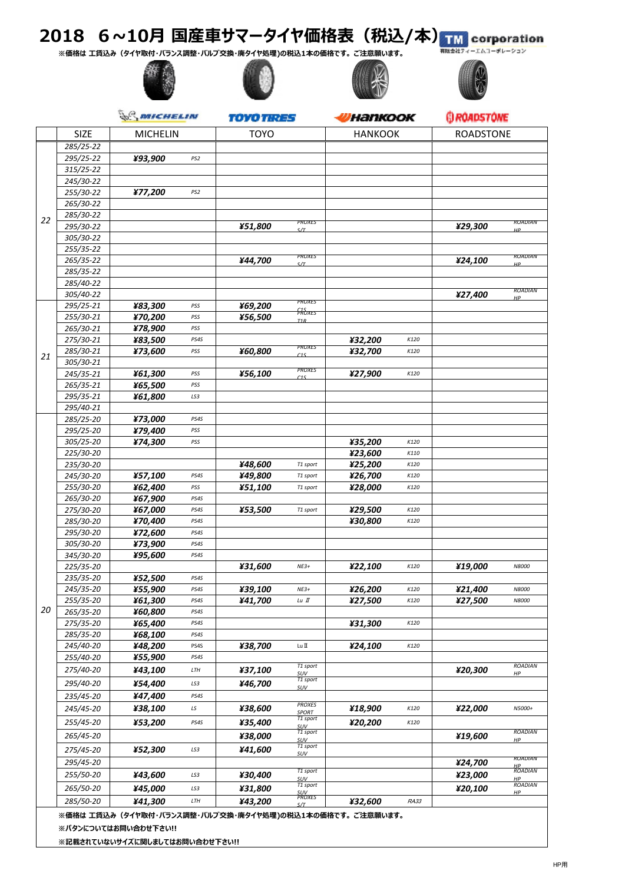## 2018 6~10月 国産車サマータイヤ価格表 (税込/本) TM corporation

**※価格は ⼯賃込み(タイヤ取付・バランス調整・バルブ交換・廃タイヤ処理)の税込1本の価格です。 ご注意願います。**









|    | MICHELIN               |                                                          | <i>TOYO TIRES</i> |             | <b>Hankook</b>                |                | <b>G ROADSTONE</b> |                  |                       |
|----|------------------------|----------------------------------------------------------|-------------------|-------------|-------------------------------|----------------|--------------------|------------------|-----------------------|
|    | <b>SIZE</b>            | <b>MICHELIN</b>                                          |                   | <b>TOYO</b> |                               | <b>HANKOOK</b> |                    | <b>ROADSTONE</b> |                       |
|    | 285/25-22              |                                                          |                   |             |                               |                |                    |                  |                       |
|    | 295/25-22              | ¥93,900                                                  | PS <sub>2</sub>   |             |                               |                |                    |                  |                       |
|    | 315/25-22              |                                                          |                   |             |                               |                |                    |                  |                       |
|    | 245/30-22              |                                                          |                   |             |                               |                |                    |                  |                       |
|    | 255/30-22              | ¥77,200                                                  | PS <sub>2</sub>   |             |                               |                |                    |                  |                       |
|    | 265/30-22              |                                                          |                   |             |                               |                |                    |                  |                       |
| 22 | 285/30-22              |                                                          |                   |             |                               |                |                    |                  |                       |
|    | 295/30-22              |                                                          |                   | ¥51,800     | PROXES<br>S/T                 |                |                    | ¥29,300          | <b>RUADIAN</b><br>HP. |
|    | 305/30-22              |                                                          |                   |             |                               |                |                    |                  |                       |
|    | 255/35-22              |                                                          |                   |             |                               |                |                    |                  |                       |
|    | 265/35-22              |                                                          |                   | ¥44,700     | PROXES<br>S/T                 |                |                    | ¥24,100          | ROADIAN<br>HP.        |
|    | 285/35-22              |                                                          |                   |             |                               |                |                    |                  |                       |
|    | 285/40-22              |                                                          |                   |             |                               |                |                    |                  | <b>ROADIAN</b>        |
|    | 305/40-22              |                                                          |                   |             | PROXES                        |                |                    | ¥27,400          | HP                    |
|    | 295/25-21              | ¥83,300                                                  | PSS               | ¥69,200     | <b>FROXES</b>                 |                |                    |                  |                       |
|    | 255/30-21              | ¥70,200                                                  | PSS               | ¥56,500     | T1R                           |                |                    |                  |                       |
|    | 265/30-21              | ¥78,900                                                  | PSS               |             |                               |                |                    |                  |                       |
|    | 275/30-21              | ¥83,500                                                  | PS4S              |             | PROXES                        | ¥32,200        | K120               |                  |                       |
| 21 | 285/30-21<br>305/30-21 | ¥73,600                                                  | PSS               | ¥60,800     | C1S                           | ¥32,700        | K120               |                  |                       |
|    | 245/35-21              | ¥61,300                                                  | PSS               | ¥56,100     | PROXES                        | ¥27,900        | K120               |                  |                       |
|    | 265/35-21              | ¥65,500                                                  | PSS               |             | C1S                           |                |                    |                  |                       |
|    | 295/35-21              | ¥61,800                                                  | LS3               |             |                               |                |                    |                  |                       |
|    | 295/40-21              |                                                          |                   |             |                               |                |                    |                  |                       |
|    | 285/25-20              | ¥73,000                                                  | PS4S              |             |                               |                |                    |                  |                       |
|    | 295/25-20              | ¥79,400                                                  | PSS               |             |                               |                |                    |                  |                       |
|    | 305/25-20              | ¥74,300                                                  | PSS               |             |                               | ¥35,200        | K120               |                  |                       |
|    | 225/30-20              |                                                          |                   |             |                               | ¥23,600        | K110               |                  |                       |
|    | 235/30-20              |                                                          |                   | ¥48,600     | T1 sport                      | ¥25,200        | K120               |                  |                       |
|    | 245/30-20              | ¥57,100                                                  | PS4S              | ¥49,800     | T1 sport                      | ¥26,700        | K120               |                  |                       |
|    | 255/30-20              | ¥62,400                                                  | PSS               | ¥51,100     | T1 sport                      | ¥28,000        | K120               |                  |                       |
|    | 265/30-20              | ¥67,900                                                  | PS4S              |             |                               |                |                    |                  |                       |
|    | 275/30-20              | ¥67,000                                                  | PS4S<br>PS4S      | ¥53,500     | T1 sport                      | ¥29,500        | K120<br>K120       |                  |                       |
|    | 285/30-20<br>295/30-20 | ¥70,400<br>¥72,600                                       | PS4S              |             |                               | ¥30,800        |                    |                  |                       |
|    | 305/30-20              | ¥73,900                                                  | PS4S              |             |                               |                |                    |                  |                       |
|    | 345/30-20              | ¥95,600                                                  | PS4S              |             |                               |                |                    |                  |                       |
|    | 225/35-20              |                                                          |                   | ¥31,600     | $NE3+$                        | ¥22,100        | K120               | ¥19,000          | N8000                 |
|    | 235/35-20              | ¥52,500                                                  | PS4S              |             |                               |                |                    |                  |                       |
|    | 245/35-20              | ¥55,900                                                  | PS4S              | ¥39,100     | $NE3+$                        | ¥26,200        | K120               | ¥21,400          | N8000                 |
|    | 255/35-20              | ¥61,300                                                  | PS4S              | ¥41,700     | Lu II                         | ¥27,500        | K120               | ¥27,500          | N8000                 |
| 20 | 265/35-20              | ¥60,800                                                  | PS4S              |             |                               |                |                    |                  |                       |
|    | 275/35-20              | ¥65,400                                                  | PS4S              |             |                               | ¥31,300        | K120               |                  |                       |
|    | 285/35-20              | ¥68,100                                                  | PS4S              |             |                               |                |                    |                  |                       |
|    | 245/40-20              | ¥48,200                                                  | PS4S              | ¥38,700     | Lu II                         | ¥24,100        | K120               |                  |                       |
|    | 255/40-20              | ¥55,900                                                  | PS4S              |             | T1 sport                      |                |                    |                  | <b>ROADIAN</b>        |
|    | 275/40-20              | ¥43,100                                                  | LTH               | ¥37,100     | SUV                           |                |                    | ¥20,300          | HP                    |
|    | 295/40-20              | ¥54,400                                                  | LS3               | ¥46,700     | T1 sport<br><b>SUV</b>        |                |                    |                  |                       |
|    | 235/45-20              | ¥47,400                                                  | PS4S              |             |                               |                |                    |                  |                       |
|    | 245/45-20              | ¥38,100                                                  | LS                | ¥38,600     | <b>PROXES</b><br><b>SPORT</b> | ¥18,900        | K120               | ¥22,000          | N5000+                |
|    | 255/45-20              | ¥53,200                                                  | PS4S              | ¥35,400     | T1 sport<br><b>SUV</b>        | ¥20,200        | K120               |                  |                       |
|    | 265/45-20              |                                                          |                   | ¥38,000     | T1 sport                      |                |                    | ¥19,600          | <b>ROADIAN</b>        |
|    | 275/45-20              | ¥52,300                                                  | LS3               | ¥41,600     | SUV<br>T1 sport               |                |                    |                  | HP                    |
|    | 295/45-20              |                                                          |                   |             | SUV                           |                |                    | ¥24,700          | <b>ROADIAN</b>        |
|    | 255/50-20              | ¥43,600                                                  | LS3               | ¥30,400     | T1 sport                      |                |                    | ¥23,000          | HP<br><b>ROADIAN</b>  |
|    | 265/50-20              | ¥45,000                                                  | LS3               | ¥31,800     | SUV<br>T1 sport               |                |                    | ¥20,100          | HP<br><b>ROADIAN</b>  |
|    | 285/50-20              | ¥41,300                                                  | LTH               | ¥43,200     | <u>SUV</u><br>PROXES          | ¥32,600        | RA33               |                  | HP                    |
|    |                        | ※価坎け 工賃はみ(タイヤ取付、バランフ調整、バルブな逸、率タイヤ処理)の税は1本の価坎です 「ご注音願います」 |                   |             | c/T                           |                |                    |                  |                       |

**※価格は ⼯賃込み(タイヤ取付・バランス調整・バルブ交換・廃タイヤ処理)の税込1本の価格です。 ご注意願います。**

**※パタンについてはお問い合わせ下さい!!**

**※記載されていないサイズに関しましてはお問い合わせ下さい!!**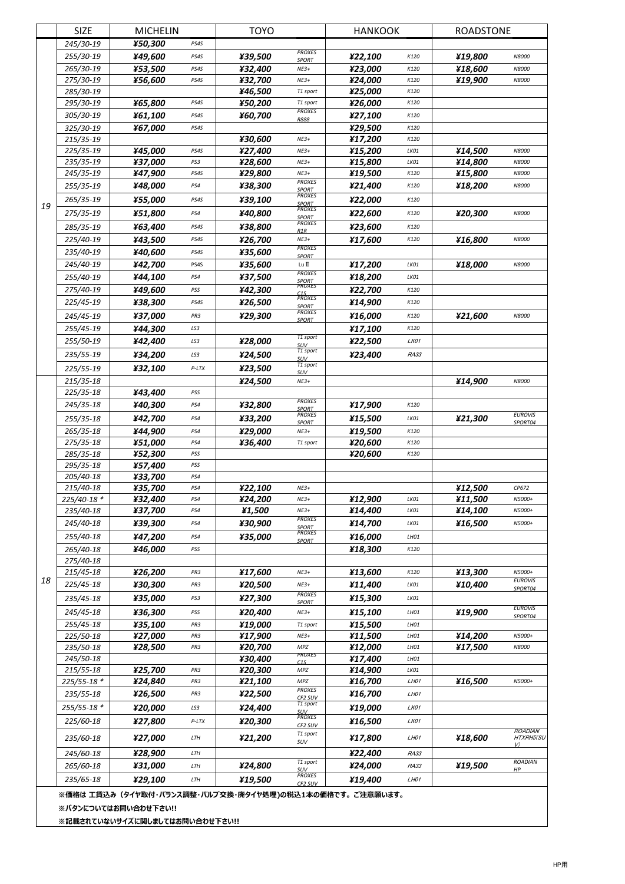| 245/30-19<br>¥50,300<br>PS4S<br><b>PROXES</b><br>255/30-19<br>¥49,600<br>¥39,500<br>¥22,100<br>¥19,800<br>PS4S<br>K120<br>N8000<br><b>SPORT</b><br>265/30-19<br>¥32,400<br>¥23,000<br>¥53,500<br>¥18,600<br>PS4S<br>$NE3+$<br>K120<br>N8000<br>275/30-19<br>¥32,700<br>¥24,000<br>¥19,900<br>¥56,600<br>PS4S<br>$NE3+$<br>K120<br>N8000<br>285/30-19<br>¥46,500<br>¥25,000<br>K120<br>T1 sport<br>¥65,800<br>¥50,200<br>¥26,000<br>295/30-19<br>PS4S<br>T1 sport<br>K120<br><b>PROXES</b><br>305/30-19<br>¥61,100<br>¥60,700<br>¥27,100<br>PS4S<br>K120<br><b>R888</b><br>325/30-19<br>¥67,000<br>¥29,500<br>PS4S<br>K120<br>¥17,200<br>215/35-19<br>¥30,600<br>$NE3+$<br>K120<br>¥15,200<br>225/35-19<br>¥45,000<br>¥27,400<br>¥14,500<br>$NE3+$<br>LKO1<br>PS4S<br>N8000<br>¥37,000<br>¥28,600<br>¥15,800<br>¥14,800<br>235/35-19<br>PS3<br>$NE3+$<br>LKO1<br>N8000<br>PS4S<br>¥29,800<br>$NE3+$<br>¥19,500<br>¥15,800<br>N8000<br>245/35-19<br>¥47,900<br>K120<br><b>PROXES</b><br>255/35-19<br>¥48,000<br>¥38,300<br>¥21,400<br>¥18,200<br>PS4<br>N8000<br>K120<br>SPORT<br>PROXES<br>¥22,000<br>265/35-19<br>¥55,000<br>PS4S<br>¥39,100<br>K120<br>SPORT<br>19<br><b>PROXES</b><br>275/35-19<br>¥51,800<br>¥40,800<br>¥22,600<br>¥20,300<br>PS4<br>K120<br>N8000<br><b>SPORT</b><br><b>PROXES</b><br>¥63,400<br>¥23,600<br>285/35-19<br>PS4S<br>¥38,800<br>K120<br>R1R<br>225/40-19<br>¥43,500<br>PS4S<br>¥26,700<br>$NE3+$<br>¥17,600<br>K120<br>¥16,800<br>N8000<br><b>PROXES</b><br>¥35,600<br>235/40-19<br>¥40,600<br>PS4S<br><b>SPORT</b><br>245/40-19<br>¥17,200<br>¥42,700<br>PS4S<br>¥35,600<br>Lu II<br>LKO1<br>¥18,000<br>N8000<br><b>PROXES</b><br>¥37,500<br>¥18,200<br>255/40-19<br>¥44,100<br>PS4<br>LKO1<br><b>SPORT</b><br>PROXES<br>275/40-19<br>¥49,600<br>¥22,700<br>PSS<br>¥42,300<br>K120<br>C <sub>1S</sub><br>PROXES<br>225/45-19<br>¥38,300<br>¥26,500<br>¥14,900<br>PS4S<br>K120<br>SPORT<br><b>PROXES</b><br>245/45-19<br>¥37,000<br>¥29,300<br>¥16,000<br>PR3<br>K120<br>¥21,600<br>N8000<br><b>SPORT</b><br>255/45-19<br>¥44,300<br>¥17,100<br>LS3<br>K120<br>T1 sport<br>255/50-19<br>¥22,500<br>LK01<br>¥42,400<br>LS3<br>¥28,000<br><b>SUV</b><br>T1 sport<br>235/55-19<br>¥34,200<br>¥24,500<br>¥23,400<br>LS3<br>RA33<br>SUV<br>T1 sport<br>225/55-19<br>¥32,100<br>¥23,500<br>$P-LTX$<br>SUV<br>215/35-18<br>$NE3+$<br>N8000<br>¥24,500<br>¥14,900<br>225/35-18<br>¥43,400<br>PSS<br><b>PROXES</b><br>245/35-18<br>¥40,300<br>¥17,900<br>PS4<br>¥32,800<br>K120<br><b>SPORT</b><br><b>PROXES</b><br><b>EUROVIS</b><br>¥42,700<br>¥15,500<br>255/35-18<br>¥33,200<br>¥21,300<br>PS4<br>LKO1<br>SPORT04<br><b>SPORT</b><br>¥44,900<br>¥29,000<br>¥19,500<br>265/35-18<br>PS4<br>$NE3+$<br>K120<br>¥20,600<br>275/35-18<br>¥51.000<br>¥36,400<br>PS4<br>K120<br>T1 sport<br>285/35-18<br>¥52,300<br>PSS<br>¥20,600<br>K120<br>295/35-18<br>¥57,400<br>PSS<br>¥33,700<br>205/40-18<br>PS4<br>215/40-18<br>¥35,700<br>¥22,100<br>¥12,500<br>PS4<br>$NE3+$<br>CP672<br>¥24,200<br>¥12,900<br>¥11,500<br>225/40-18 *<br>¥32,400<br>$NE3+$<br>LK01<br>N5000+<br>PS4<br>¥37,700<br>PS4<br>¥1,500<br>$NE3+$<br>¥14,400<br>LKO1<br>¥14,100<br>N5000+<br>235/40-18<br><b>PROXES</b><br>¥30,900<br>245/40-18<br>¥39,300<br>PS4<br>¥14,700<br>LK01<br>¥16,500<br>N5000+<br><b>SPORT</b><br><b>PROXES</b><br>255/40-18<br>¥47,200<br>¥35,000<br>¥16,000<br>PS4<br>LH01<br><b>SPORT</b><br>265/40-18<br>¥46,000<br>¥18,300<br>PSS<br>K120<br>275/40-18<br>¥26,200<br>¥13,600<br>¥13,300<br>215/45-18<br>¥17,600<br>PR3<br>$NE3+$<br>K120<br>N5000+<br>18<br><b>EUROVIS</b><br>225/45-18<br>¥30,300<br>¥20,500<br>¥11,400<br>PR3<br>$NE3+$<br>LKO1<br>¥10,400<br>SPORT04<br><b>PROXES</b><br>¥35,000<br>¥15,300<br>¥27,300<br>235/45-18<br>PS3<br>LKO1<br><b>SPORT</b><br><b>EUROVIS</b><br>245/45-18<br>¥36,300<br>¥15,100<br>PSS<br>¥20,400<br>$NE3+$<br>LHO1<br>¥19,900<br>SPORT04<br>¥19,000<br>¥15,500<br>255/45-18<br>¥35,100<br>PR3<br>LH01<br>T1 sport<br>225/50-18<br>¥27,000<br>¥17,900<br>¥11,500<br>¥14,200<br>$NE3+$<br>PR3<br>LH01<br>N5000+<br>¥12,000<br>235/50-18<br>¥20,700<br>¥17,500<br>¥28,500<br>PR3<br>MPZ<br>LH01<br>N8000<br>PROXES<br>245/50-18<br>¥30,400<br>¥17,400<br>LH01<br>C1S<br>215/55-18<br>¥25,700<br>PR3<br>¥20,300<br>¥14,900<br>LKO1<br>MPZ<br>225/55-18 *<br>¥16,700<br>¥16,500<br>¥24,840<br>PR3<br>¥21,100<br>MPZ<br>LH01<br>N5000+<br><b>PROXES</b><br>235/55-18<br>¥26,500<br>PR3<br>¥22,500<br>¥16,700<br>LH01<br>CF2 SUV<br>T1 sport<br>255/55-18 *<br>¥24,400<br>¥19,000<br>LK01<br>¥20,000<br>LS3<br>SUV<br><b>PROXES</b><br>¥20,300<br>¥16,500<br>225/60-18<br>¥27,800<br>$P-LTX$<br>LK01<br>CF2 SUV<br><b>ROADIAN</b><br>T1 sport<br>235/60-18<br>¥27,000<br>¥17,800<br>LTH<br>¥21,200<br>¥18,600<br>HTXRH5(SU<br>LH01<br>SUV<br>V)<br>¥28,900<br>¥22,400<br>245/60-18<br>LTH<br>RA33<br><b>ROADIAN</b><br>T1 sport<br>265/60-18<br>¥31,000<br>¥24,800<br>¥24,000<br>RA33<br>¥19,500<br>LTH<br>suv<br>HP<br>PROXES<br>¥19,500<br>¥19,400<br>235/65-18<br>¥29,100<br>LTH<br>LH01<br>CF2 SUV<br>※価格は 工賃込み(タイヤ取付・バランス調整・バルブ交換・廃タイヤ処理)の税込1本の価格です。 ご注意願います。 |  | <b>SIZE</b><br><b>MICHELIN</b> |  | <b>TOYO</b> |  | <b>HANKOOK</b> |  | <b>ROADSTONE</b> |  |  |
|--------------------------------------------------------------------------------------------------------------------------------------------------------------------------------------------------------------------------------------------------------------------------------------------------------------------------------------------------------------------------------------------------------------------------------------------------------------------------------------------------------------------------------------------------------------------------------------------------------------------------------------------------------------------------------------------------------------------------------------------------------------------------------------------------------------------------------------------------------------------------------------------------------------------------------------------------------------------------------------------------------------------------------------------------------------------------------------------------------------------------------------------------------------------------------------------------------------------------------------------------------------------------------------------------------------------------------------------------------------------------------------------------------------------------------------------------------------------------------------------------------------------------------------------------------------------------------------------------------------------------------------------------------------------------------------------------------------------------------------------------------------------------------------------------------------------------------------------------------------------------------------------------------------------------------------------------------------------------------------------------------------------------------------------------------------------------------------------------------------------------------------------------------------------------------------------------------------------------------------------------------------------------------------------------------------------------------------------------------------------------------------------------------------------------------------------------------------------------------------------------------------------------------------------------------------------------------------------------------------------------------------------------------------------------------------------------------------------------------------------------------------------------------------------------------------------------------------------------------------------------------------------------------------------------------------------------------------------------------------------------------------------------------------------------------------------------------------------------------------------------------------------------------------------------------------------------------------------------------------------------------------------------------------------------------------------------------------------------------------------------------------------------------------------------------------------------------------------------------------------------------------------------------------------------------------------------------------------------------------------------------------------------------------------------------------------------------------------------------------------------------------------------------------------------------------------------------------------------------------------------------------------------------------------------------------------------------------------------------------------------------------------------------------------------------------------------------------------------------------------------------------------------------------------------------------------------------------------------------------------------------------------------------------------------------------------------------------------------------------------------------------------------------------------------------------------------------------------------------------------------------------------------------------------------------------------------------------------------------------------------------------------------------------------------------------------------------------------------------------------------------------------------------------------------------------------------------------------------------------------------------------------------------------------------------------------------------------------------------------------------------------------------------------------------------------------------------------------------------------------------------|--|--------------------------------|--|-------------|--|----------------|--|------------------|--|--|
|                                                                                                                                                                                                                                                                                                                                                                                                                                                                                                                                                                                                                                                                                                                                                                                                                                                                                                                                                                                                                                                                                                                                                                                                                                                                                                                                                                                                                                                                                                                                                                                                                                                                                                                                                                                                                                                                                                                                                                                                                                                                                                                                                                                                                                                                                                                                                                                                                                                                                                                                                                                                                                                                                                                                                                                                                                                                                                                                                                                                                                                                                                                                                                                                                                                                                                                                                                                                                                                                                                                                                                                                                                                                                                                                                                                                                                                                                                                                                                                                                                                                                                                                                                                                                                                                                                                                                                                                                                                                                                                                                                                                                                                                                                                                                                                                                                                                                                                                                                                                                                                                                                                                |  |                                |  |             |  |                |  |                  |  |  |
|                                                                                                                                                                                                                                                                                                                                                                                                                                                                                                                                                                                                                                                                                                                                                                                                                                                                                                                                                                                                                                                                                                                                                                                                                                                                                                                                                                                                                                                                                                                                                                                                                                                                                                                                                                                                                                                                                                                                                                                                                                                                                                                                                                                                                                                                                                                                                                                                                                                                                                                                                                                                                                                                                                                                                                                                                                                                                                                                                                                                                                                                                                                                                                                                                                                                                                                                                                                                                                                                                                                                                                                                                                                                                                                                                                                                                                                                                                                                                                                                                                                                                                                                                                                                                                                                                                                                                                                                                                                                                                                                                                                                                                                                                                                                                                                                                                                                                                                                                                                                                                                                                                                                |  |                                |  |             |  |                |  |                  |  |  |
|                                                                                                                                                                                                                                                                                                                                                                                                                                                                                                                                                                                                                                                                                                                                                                                                                                                                                                                                                                                                                                                                                                                                                                                                                                                                                                                                                                                                                                                                                                                                                                                                                                                                                                                                                                                                                                                                                                                                                                                                                                                                                                                                                                                                                                                                                                                                                                                                                                                                                                                                                                                                                                                                                                                                                                                                                                                                                                                                                                                                                                                                                                                                                                                                                                                                                                                                                                                                                                                                                                                                                                                                                                                                                                                                                                                                                                                                                                                                                                                                                                                                                                                                                                                                                                                                                                                                                                                                                                                                                                                                                                                                                                                                                                                                                                                                                                                                                                                                                                                                                                                                                                                                |  |                                |  |             |  |                |  |                  |  |  |
|                                                                                                                                                                                                                                                                                                                                                                                                                                                                                                                                                                                                                                                                                                                                                                                                                                                                                                                                                                                                                                                                                                                                                                                                                                                                                                                                                                                                                                                                                                                                                                                                                                                                                                                                                                                                                                                                                                                                                                                                                                                                                                                                                                                                                                                                                                                                                                                                                                                                                                                                                                                                                                                                                                                                                                                                                                                                                                                                                                                                                                                                                                                                                                                                                                                                                                                                                                                                                                                                                                                                                                                                                                                                                                                                                                                                                                                                                                                                                                                                                                                                                                                                                                                                                                                                                                                                                                                                                                                                                                                                                                                                                                                                                                                                                                                                                                                                                                                                                                                                                                                                                                                                |  |                                |  |             |  |                |  |                  |  |  |
|                                                                                                                                                                                                                                                                                                                                                                                                                                                                                                                                                                                                                                                                                                                                                                                                                                                                                                                                                                                                                                                                                                                                                                                                                                                                                                                                                                                                                                                                                                                                                                                                                                                                                                                                                                                                                                                                                                                                                                                                                                                                                                                                                                                                                                                                                                                                                                                                                                                                                                                                                                                                                                                                                                                                                                                                                                                                                                                                                                                                                                                                                                                                                                                                                                                                                                                                                                                                                                                                                                                                                                                                                                                                                                                                                                                                                                                                                                                                                                                                                                                                                                                                                                                                                                                                                                                                                                                                                                                                                                                                                                                                                                                                                                                                                                                                                                                                                                                                                                                                                                                                                                                                |  |                                |  |             |  |                |  |                  |  |  |
|                                                                                                                                                                                                                                                                                                                                                                                                                                                                                                                                                                                                                                                                                                                                                                                                                                                                                                                                                                                                                                                                                                                                                                                                                                                                                                                                                                                                                                                                                                                                                                                                                                                                                                                                                                                                                                                                                                                                                                                                                                                                                                                                                                                                                                                                                                                                                                                                                                                                                                                                                                                                                                                                                                                                                                                                                                                                                                                                                                                                                                                                                                                                                                                                                                                                                                                                                                                                                                                                                                                                                                                                                                                                                                                                                                                                                                                                                                                                                                                                                                                                                                                                                                                                                                                                                                                                                                                                                                                                                                                                                                                                                                                                                                                                                                                                                                                                                                                                                                                                                                                                                                                                |  |                                |  |             |  |                |  |                  |  |  |
|                                                                                                                                                                                                                                                                                                                                                                                                                                                                                                                                                                                                                                                                                                                                                                                                                                                                                                                                                                                                                                                                                                                                                                                                                                                                                                                                                                                                                                                                                                                                                                                                                                                                                                                                                                                                                                                                                                                                                                                                                                                                                                                                                                                                                                                                                                                                                                                                                                                                                                                                                                                                                                                                                                                                                                                                                                                                                                                                                                                                                                                                                                                                                                                                                                                                                                                                                                                                                                                                                                                                                                                                                                                                                                                                                                                                                                                                                                                                                                                                                                                                                                                                                                                                                                                                                                                                                                                                                                                                                                                                                                                                                                                                                                                                                                                                                                                                                                                                                                                                                                                                                                                                |  |                                |  |             |  |                |  |                  |  |  |
|                                                                                                                                                                                                                                                                                                                                                                                                                                                                                                                                                                                                                                                                                                                                                                                                                                                                                                                                                                                                                                                                                                                                                                                                                                                                                                                                                                                                                                                                                                                                                                                                                                                                                                                                                                                                                                                                                                                                                                                                                                                                                                                                                                                                                                                                                                                                                                                                                                                                                                                                                                                                                                                                                                                                                                                                                                                                                                                                                                                                                                                                                                                                                                                                                                                                                                                                                                                                                                                                                                                                                                                                                                                                                                                                                                                                                                                                                                                                                                                                                                                                                                                                                                                                                                                                                                                                                                                                                                                                                                                                                                                                                                                                                                                                                                                                                                                                                                                                                                                                                                                                                                                                |  |                                |  |             |  |                |  |                  |  |  |
|                                                                                                                                                                                                                                                                                                                                                                                                                                                                                                                                                                                                                                                                                                                                                                                                                                                                                                                                                                                                                                                                                                                                                                                                                                                                                                                                                                                                                                                                                                                                                                                                                                                                                                                                                                                                                                                                                                                                                                                                                                                                                                                                                                                                                                                                                                                                                                                                                                                                                                                                                                                                                                                                                                                                                                                                                                                                                                                                                                                                                                                                                                                                                                                                                                                                                                                                                                                                                                                                                                                                                                                                                                                                                                                                                                                                                                                                                                                                                                                                                                                                                                                                                                                                                                                                                                                                                                                                                                                                                                                                                                                                                                                                                                                                                                                                                                                                                                                                                                                                                                                                                                                                |  |                                |  |             |  |                |  |                  |  |  |
|                                                                                                                                                                                                                                                                                                                                                                                                                                                                                                                                                                                                                                                                                                                                                                                                                                                                                                                                                                                                                                                                                                                                                                                                                                                                                                                                                                                                                                                                                                                                                                                                                                                                                                                                                                                                                                                                                                                                                                                                                                                                                                                                                                                                                                                                                                                                                                                                                                                                                                                                                                                                                                                                                                                                                                                                                                                                                                                                                                                                                                                                                                                                                                                                                                                                                                                                                                                                                                                                                                                                                                                                                                                                                                                                                                                                                                                                                                                                                                                                                                                                                                                                                                                                                                                                                                                                                                                                                                                                                                                                                                                                                                                                                                                                                                                                                                                                                                                                                                                                                                                                                                                                |  |                                |  |             |  |                |  |                  |  |  |
|                                                                                                                                                                                                                                                                                                                                                                                                                                                                                                                                                                                                                                                                                                                                                                                                                                                                                                                                                                                                                                                                                                                                                                                                                                                                                                                                                                                                                                                                                                                                                                                                                                                                                                                                                                                                                                                                                                                                                                                                                                                                                                                                                                                                                                                                                                                                                                                                                                                                                                                                                                                                                                                                                                                                                                                                                                                                                                                                                                                                                                                                                                                                                                                                                                                                                                                                                                                                                                                                                                                                                                                                                                                                                                                                                                                                                                                                                                                                                                                                                                                                                                                                                                                                                                                                                                                                                                                                                                                                                                                                                                                                                                                                                                                                                                                                                                                                                                                                                                                                                                                                                                                                |  |                                |  |             |  |                |  |                  |  |  |
|                                                                                                                                                                                                                                                                                                                                                                                                                                                                                                                                                                                                                                                                                                                                                                                                                                                                                                                                                                                                                                                                                                                                                                                                                                                                                                                                                                                                                                                                                                                                                                                                                                                                                                                                                                                                                                                                                                                                                                                                                                                                                                                                                                                                                                                                                                                                                                                                                                                                                                                                                                                                                                                                                                                                                                                                                                                                                                                                                                                                                                                                                                                                                                                                                                                                                                                                                                                                                                                                                                                                                                                                                                                                                                                                                                                                                                                                                                                                                                                                                                                                                                                                                                                                                                                                                                                                                                                                                                                                                                                                                                                                                                                                                                                                                                                                                                                                                                                                                                                                                                                                                                                                |  |                                |  |             |  |                |  |                  |  |  |
|                                                                                                                                                                                                                                                                                                                                                                                                                                                                                                                                                                                                                                                                                                                                                                                                                                                                                                                                                                                                                                                                                                                                                                                                                                                                                                                                                                                                                                                                                                                                                                                                                                                                                                                                                                                                                                                                                                                                                                                                                                                                                                                                                                                                                                                                                                                                                                                                                                                                                                                                                                                                                                                                                                                                                                                                                                                                                                                                                                                                                                                                                                                                                                                                                                                                                                                                                                                                                                                                                                                                                                                                                                                                                                                                                                                                                                                                                                                                                                                                                                                                                                                                                                                                                                                                                                                                                                                                                                                                                                                                                                                                                                                                                                                                                                                                                                                                                                                                                                                                                                                                                                                                |  |                                |  |             |  |                |  |                  |  |  |
|                                                                                                                                                                                                                                                                                                                                                                                                                                                                                                                                                                                                                                                                                                                                                                                                                                                                                                                                                                                                                                                                                                                                                                                                                                                                                                                                                                                                                                                                                                                                                                                                                                                                                                                                                                                                                                                                                                                                                                                                                                                                                                                                                                                                                                                                                                                                                                                                                                                                                                                                                                                                                                                                                                                                                                                                                                                                                                                                                                                                                                                                                                                                                                                                                                                                                                                                                                                                                                                                                                                                                                                                                                                                                                                                                                                                                                                                                                                                                                                                                                                                                                                                                                                                                                                                                                                                                                                                                                                                                                                                                                                                                                                                                                                                                                                                                                                                                                                                                                                                                                                                                                                                |  |                                |  |             |  |                |  |                  |  |  |
|                                                                                                                                                                                                                                                                                                                                                                                                                                                                                                                                                                                                                                                                                                                                                                                                                                                                                                                                                                                                                                                                                                                                                                                                                                                                                                                                                                                                                                                                                                                                                                                                                                                                                                                                                                                                                                                                                                                                                                                                                                                                                                                                                                                                                                                                                                                                                                                                                                                                                                                                                                                                                                                                                                                                                                                                                                                                                                                                                                                                                                                                                                                                                                                                                                                                                                                                                                                                                                                                                                                                                                                                                                                                                                                                                                                                                                                                                                                                                                                                                                                                                                                                                                                                                                                                                                                                                                                                                                                                                                                                                                                                                                                                                                                                                                                                                                                                                                                                                                                                                                                                                                                                |  |                                |  |             |  |                |  |                  |  |  |
|                                                                                                                                                                                                                                                                                                                                                                                                                                                                                                                                                                                                                                                                                                                                                                                                                                                                                                                                                                                                                                                                                                                                                                                                                                                                                                                                                                                                                                                                                                                                                                                                                                                                                                                                                                                                                                                                                                                                                                                                                                                                                                                                                                                                                                                                                                                                                                                                                                                                                                                                                                                                                                                                                                                                                                                                                                                                                                                                                                                                                                                                                                                                                                                                                                                                                                                                                                                                                                                                                                                                                                                                                                                                                                                                                                                                                                                                                                                                                                                                                                                                                                                                                                                                                                                                                                                                                                                                                                                                                                                                                                                                                                                                                                                                                                                                                                                                                                                                                                                                                                                                                                                                |  |                                |  |             |  |                |  |                  |  |  |
|                                                                                                                                                                                                                                                                                                                                                                                                                                                                                                                                                                                                                                                                                                                                                                                                                                                                                                                                                                                                                                                                                                                                                                                                                                                                                                                                                                                                                                                                                                                                                                                                                                                                                                                                                                                                                                                                                                                                                                                                                                                                                                                                                                                                                                                                                                                                                                                                                                                                                                                                                                                                                                                                                                                                                                                                                                                                                                                                                                                                                                                                                                                                                                                                                                                                                                                                                                                                                                                                                                                                                                                                                                                                                                                                                                                                                                                                                                                                                                                                                                                                                                                                                                                                                                                                                                                                                                                                                                                                                                                                                                                                                                                                                                                                                                                                                                                                                                                                                                                                                                                                                                                                |  |                                |  |             |  |                |  |                  |  |  |
|                                                                                                                                                                                                                                                                                                                                                                                                                                                                                                                                                                                                                                                                                                                                                                                                                                                                                                                                                                                                                                                                                                                                                                                                                                                                                                                                                                                                                                                                                                                                                                                                                                                                                                                                                                                                                                                                                                                                                                                                                                                                                                                                                                                                                                                                                                                                                                                                                                                                                                                                                                                                                                                                                                                                                                                                                                                                                                                                                                                                                                                                                                                                                                                                                                                                                                                                                                                                                                                                                                                                                                                                                                                                                                                                                                                                                                                                                                                                                                                                                                                                                                                                                                                                                                                                                                                                                                                                                                                                                                                                                                                                                                                                                                                                                                                                                                                                                                                                                                                                                                                                                                                                |  |                                |  |             |  |                |  |                  |  |  |
|                                                                                                                                                                                                                                                                                                                                                                                                                                                                                                                                                                                                                                                                                                                                                                                                                                                                                                                                                                                                                                                                                                                                                                                                                                                                                                                                                                                                                                                                                                                                                                                                                                                                                                                                                                                                                                                                                                                                                                                                                                                                                                                                                                                                                                                                                                                                                                                                                                                                                                                                                                                                                                                                                                                                                                                                                                                                                                                                                                                                                                                                                                                                                                                                                                                                                                                                                                                                                                                                                                                                                                                                                                                                                                                                                                                                                                                                                                                                                                                                                                                                                                                                                                                                                                                                                                                                                                                                                                                                                                                                                                                                                                                                                                                                                                                                                                                                                                                                                                                                                                                                                                                                |  |                                |  |             |  |                |  |                  |  |  |
|                                                                                                                                                                                                                                                                                                                                                                                                                                                                                                                                                                                                                                                                                                                                                                                                                                                                                                                                                                                                                                                                                                                                                                                                                                                                                                                                                                                                                                                                                                                                                                                                                                                                                                                                                                                                                                                                                                                                                                                                                                                                                                                                                                                                                                                                                                                                                                                                                                                                                                                                                                                                                                                                                                                                                                                                                                                                                                                                                                                                                                                                                                                                                                                                                                                                                                                                                                                                                                                                                                                                                                                                                                                                                                                                                                                                                                                                                                                                                                                                                                                                                                                                                                                                                                                                                                                                                                                                                                                                                                                                                                                                                                                                                                                                                                                                                                                                                                                                                                                                                                                                                                                                |  |                                |  |             |  |                |  |                  |  |  |
|                                                                                                                                                                                                                                                                                                                                                                                                                                                                                                                                                                                                                                                                                                                                                                                                                                                                                                                                                                                                                                                                                                                                                                                                                                                                                                                                                                                                                                                                                                                                                                                                                                                                                                                                                                                                                                                                                                                                                                                                                                                                                                                                                                                                                                                                                                                                                                                                                                                                                                                                                                                                                                                                                                                                                                                                                                                                                                                                                                                                                                                                                                                                                                                                                                                                                                                                                                                                                                                                                                                                                                                                                                                                                                                                                                                                                                                                                                                                                                                                                                                                                                                                                                                                                                                                                                                                                                                                                                                                                                                                                                                                                                                                                                                                                                                                                                                                                                                                                                                                                                                                                                                                |  |                                |  |             |  |                |  |                  |  |  |
|                                                                                                                                                                                                                                                                                                                                                                                                                                                                                                                                                                                                                                                                                                                                                                                                                                                                                                                                                                                                                                                                                                                                                                                                                                                                                                                                                                                                                                                                                                                                                                                                                                                                                                                                                                                                                                                                                                                                                                                                                                                                                                                                                                                                                                                                                                                                                                                                                                                                                                                                                                                                                                                                                                                                                                                                                                                                                                                                                                                                                                                                                                                                                                                                                                                                                                                                                                                                                                                                                                                                                                                                                                                                                                                                                                                                                                                                                                                                                                                                                                                                                                                                                                                                                                                                                                                                                                                                                                                                                                                                                                                                                                                                                                                                                                                                                                                                                                                                                                                                                                                                                                                                |  |                                |  |             |  |                |  |                  |  |  |
|                                                                                                                                                                                                                                                                                                                                                                                                                                                                                                                                                                                                                                                                                                                                                                                                                                                                                                                                                                                                                                                                                                                                                                                                                                                                                                                                                                                                                                                                                                                                                                                                                                                                                                                                                                                                                                                                                                                                                                                                                                                                                                                                                                                                                                                                                                                                                                                                                                                                                                                                                                                                                                                                                                                                                                                                                                                                                                                                                                                                                                                                                                                                                                                                                                                                                                                                                                                                                                                                                                                                                                                                                                                                                                                                                                                                                                                                                                                                                                                                                                                                                                                                                                                                                                                                                                                                                                                                                                                                                                                                                                                                                                                                                                                                                                                                                                                                                                                                                                                                                                                                                                                                |  |                                |  |             |  |                |  |                  |  |  |
|                                                                                                                                                                                                                                                                                                                                                                                                                                                                                                                                                                                                                                                                                                                                                                                                                                                                                                                                                                                                                                                                                                                                                                                                                                                                                                                                                                                                                                                                                                                                                                                                                                                                                                                                                                                                                                                                                                                                                                                                                                                                                                                                                                                                                                                                                                                                                                                                                                                                                                                                                                                                                                                                                                                                                                                                                                                                                                                                                                                                                                                                                                                                                                                                                                                                                                                                                                                                                                                                                                                                                                                                                                                                                                                                                                                                                                                                                                                                                                                                                                                                                                                                                                                                                                                                                                                                                                                                                                                                                                                                                                                                                                                                                                                                                                                                                                                                                                                                                                                                                                                                                                                                |  |                                |  |             |  |                |  |                  |  |  |
|                                                                                                                                                                                                                                                                                                                                                                                                                                                                                                                                                                                                                                                                                                                                                                                                                                                                                                                                                                                                                                                                                                                                                                                                                                                                                                                                                                                                                                                                                                                                                                                                                                                                                                                                                                                                                                                                                                                                                                                                                                                                                                                                                                                                                                                                                                                                                                                                                                                                                                                                                                                                                                                                                                                                                                                                                                                                                                                                                                                                                                                                                                                                                                                                                                                                                                                                                                                                                                                                                                                                                                                                                                                                                                                                                                                                                                                                                                                                                                                                                                                                                                                                                                                                                                                                                                                                                                                                                                                                                                                                                                                                                                                                                                                                                                                                                                                                                                                                                                                                                                                                                                                                |  |                                |  |             |  |                |  |                  |  |  |
|                                                                                                                                                                                                                                                                                                                                                                                                                                                                                                                                                                                                                                                                                                                                                                                                                                                                                                                                                                                                                                                                                                                                                                                                                                                                                                                                                                                                                                                                                                                                                                                                                                                                                                                                                                                                                                                                                                                                                                                                                                                                                                                                                                                                                                                                                                                                                                                                                                                                                                                                                                                                                                                                                                                                                                                                                                                                                                                                                                                                                                                                                                                                                                                                                                                                                                                                                                                                                                                                                                                                                                                                                                                                                                                                                                                                                                                                                                                                                                                                                                                                                                                                                                                                                                                                                                                                                                                                                                                                                                                                                                                                                                                                                                                                                                                                                                                                                                                                                                                                                                                                                                                                |  |                                |  |             |  |                |  |                  |  |  |
|                                                                                                                                                                                                                                                                                                                                                                                                                                                                                                                                                                                                                                                                                                                                                                                                                                                                                                                                                                                                                                                                                                                                                                                                                                                                                                                                                                                                                                                                                                                                                                                                                                                                                                                                                                                                                                                                                                                                                                                                                                                                                                                                                                                                                                                                                                                                                                                                                                                                                                                                                                                                                                                                                                                                                                                                                                                                                                                                                                                                                                                                                                                                                                                                                                                                                                                                                                                                                                                                                                                                                                                                                                                                                                                                                                                                                                                                                                                                                                                                                                                                                                                                                                                                                                                                                                                                                                                                                                                                                                                                                                                                                                                                                                                                                                                                                                                                                                                                                                                                                                                                                                                                |  |                                |  |             |  |                |  |                  |  |  |
|                                                                                                                                                                                                                                                                                                                                                                                                                                                                                                                                                                                                                                                                                                                                                                                                                                                                                                                                                                                                                                                                                                                                                                                                                                                                                                                                                                                                                                                                                                                                                                                                                                                                                                                                                                                                                                                                                                                                                                                                                                                                                                                                                                                                                                                                                                                                                                                                                                                                                                                                                                                                                                                                                                                                                                                                                                                                                                                                                                                                                                                                                                                                                                                                                                                                                                                                                                                                                                                                                                                                                                                                                                                                                                                                                                                                                                                                                                                                                                                                                                                                                                                                                                                                                                                                                                                                                                                                                                                                                                                                                                                                                                                                                                                                                                                                                                                                                                                                                                                                                                                                                                                                |  |                                |  |             |  |                |  |                  |  |  |
|                                                                                                                                                                                                                                                                                                                                                                                                                                                                                                                                                                                                                                                                                                                                                                                                                                                                                                                                                                                                                                                                                                                                                                                                                                                                                                                                                                                                                                                                                                                                                                                                                                                                                                                                                                                                                                                                                                                                                                                                                                                                                                                                                                                                                                                                                                                                                                                                                                                                                                                                                                                                                                                                                                                                                                                                                                                                                                                                                                                                                                                                                                                                                                                                                                                                                                                                                                                                                                                                                                                                                                                                                                                                                                                                                                                                                                                                                                                                                                                                                                                                                                                                                                                                                                                                                                                                                                                                                                                                                                                                                                                                                                                                                                                                                                                                                                                                                                                                                                                                                                                                                                                                |  |                                |  |             |  |                |  |                  |  |  |
|                                                                                                                                                                                                                                                                                                                                                                                                                                                                                                                                                                                                                                                                                                                                                                                                                                                                                                                                                                                                                                                                                                                                                                                                                                                                                                                                                                                                                                                                                                                                                                                                                                                                                                                                                                                                                                                                                                                                                                                                                                                                                                                                                                                                                                                                                                                                                                                                                                                                                                                                                                                                                                                                                                                                                                                                                                                                                                                                                                                                                                                                                                                                                                                                                                                                                                                                                                                                                                                                                                                                                                                                                                                                                                                                                                                                                                                                                                                                                                                                                                                                                                                                                                                                                                                                                                                                                                                                                                                                                                                                                                                                                                                                                                                                                                                                                                                                                                                                                                                                                                                                                                                                |  |                                |  |             |  |                |  |                  |  |  |
|                                                                                                                                                                                                                                                                                                                                                                                                                                                                                                                                                                                                                                                                                                                                                                                                                                                                                                                                                                                                                                                                                                                                                                                                                                                                                                                                                                                                                                                                                                                                                                                                                                                                                                                                                                                                                                                                                                                                                                                                                                                                                                                                                                                                                                                                                                                                                                                                                                                                                                                                                                                                                                                                                                                                                                                                                                                                                                                                                                                                                                                                                                                                                                                                                                                                                                                                                                                                                                                                                                                                                                                                                                                                                                                                                                                                                                                                                                                                                                                                                                                                                                                                                                                                                                                                                                                                                                                                                                                                                                                                                                                                                                                                                                                                                                                                                                                                                                                                                                                                                                                                                                                                |  |                                |  |             |  |                |  |                  |  |  |
|                                                                                                                                                                                                                                                                                                                                                                                                                                                                                                                                                                                                                                                                                                                                                                                                                                                                                                                                                                                                                                                                                                                                                                                                                                                                                                                                                                                                                                                                                                                                                                                                                                                                                                                                                                                                                                                                                                                                                                                                                                                                                                                                                                                                                                                                                                                                                                                                                                                                                                                                                                                                                                                                                                                                                                                                                                                                                                                                                                                                                                                                                                                                                                                                                                                                                                                                                                                                                                                                                                                                                                                                                                                                                                                                                                                                                                                                                                                                                                                                                                                                                                                                                                                                                                                                                                                                                                                                                                                                                                                                                                                                                                                                                                                                                                                                                                                                                                                                                                                                                                                                                                                                |  |                                |  |             |  |                |  |                  |  |  |
|                                                                                                                                                                                                                                                                                                                                                                                                                                                                                                                                                                                                                                                                                                                                                                                                                                                                                                                                                                                                                                                                                                                                                                                                                                                                                                                                                                                                                                                                                                                                                                                                                                                                                                                                                                                                                                                                                                                                                                                                                                                                                                                                                                                                                                                                                                                                                                                                                                                                                                                                                                                                                                                                                                                                                                                                                                                                                                                                                                                                                                                                                                                                                                                                                                                                                                                                                                                                                                                                                                                                                                                                                                                                                                                                                                                                                                                                                                                                                                                                                                                                                                                                                                                                                                                                                                                                                                                                                                                                                                                                                                                                                                                                                                                                                                                                                                                                                                                                                                                                                                                                                                                                |  |                                |  |             |  |                |  |                  |  |  |
|                                                                                                                                                                                                                                                                                                                                                                                                                                                                                                                                                                                                                                                                                                                                                                                                                                                                                                                                                                                                                                                                                                                                                                                                                                                                                                                                                                                                                                                                                                                                                                                                                                                                                                                                                                                                                                                                                                                                                                                                                                                                                                                                                                                                                                                                                                                                                                                                                                                                                                                                                                                                                                                                                                                                                                                                                                                                                                                                                                                                                                                                                                                                                                                                                                                                                                                                                                                                                                                                                                                                                                                                                                                                                                                                                                                                                                                                                                                                                                                                                                                                                                                                                                                                                                                                                                                                                                                                                                                                                                                                                                                                                                                                                                                                                                                                                                                                                                                                                                                                                                                                                                                                |  |                                |  |             |  |                |  |                  |  |  |
|                                                                                                                                                                                                                                                                                                                                                                                                                                                                                                                                                                                                                                                                                                                                                                                                                                                                                                                                                                                                                                                                                                                                                                                                                                                                                                                                                                                                                                                                                                                                                                                                                                                                                                                                                                                                                                                                                                                                                                                                                                                                                                                                                                                                                                                                                                                                                                                                                                                                                                                                                                                                                                                                                                                                                                                                                                                                                                                                                                                                                                                                                                                                                                                                                                                                                                                                                                                                                                                                                                                                                                                                                                                                                                                                                                                                                                                                                                                                                                                                                                                                                                                                                                                                                                                                                                                                                                                                                                                                                                                                                                                                                                                                                                                                                                                                                                                                                                                                                                                                                                                                                                                                |  |                                |  |             |  |                |  |                  |  |  |
|                                                                                                                                                                                                                                                                                                                                                                                                                                                                                                                                                                                                                                                                                                                                                                                                                                                                                                                                                                                                                                                                                                                                                                                                                                                                                                                                                                                                                                                                                                                                                                                                                                                                                                                                                                                                                                                                                                                                                                                                                                                                                                                                                                                                                                                                                                                                                                                                                                                                                                                                                                                                                                                                                                                                                                                                                                                                                                                                                                                                                                                                                                                                                                                                                                                                                                                                                                                                                                                                                                                                                                                                                                                                                                                                                                                                                                                                                                                                                                                                                                                                                                                                                                                                                                                                                                                                                                                                                                                                                                                                                                                                                                                                                                                                                                                                                                                                                                                                                                                                                                                                                                                                |  |                                |  |             |  |                |  |                  |  |  |
|                                                                                                                                                                                                                                                                                                                                                                                                                                                                                                                                                                                                                                                                                                                                                                                                                                                                                                                                                                                                                                                                                                                                                                                                                                                                                                                                                                                                                                                                                                                                                                                                                                                                                                                                                                                                                                                                                                                                                                                                                                                                                                                                                                                                                                                                                                                                                                                                                                                                                                                                                                                                                                                                                                                                                                                                                                                                                                                                                                                                                                                                                                                                                                                                                                                                                                                                                                                                                                                                                                                                                                                                                                                                                                                                                                                                                                                                                                                                                                                                                                                                                                                                                                                                                                                                                                                                                                                                                                                                                                                                                                                                                                                                                                                                                                                                                                                                                                                                                                                                                                                                                                                                |  |                                |  |             |  |                |  |                  |  |  |
|                                                                                                                                                                                                                                                                                                                                                                                                                                                                                                                                                                                                                                                                                                                                                                                                                                                                                                                                                                                                                                                                                                                                                                                                                                                                                                                                                                                                                                                                                                                                                                                                                                                                                                                                                                                                                                                                                                                                                                                                                                                                                                                                                                                                                                                                                                                                                                                                                                                                                                                                                                                                                                                                                                                                                                                                                                                                                                                                                                                                                                                                                                                                                                                                                                                                                                                                                                                                                                                                                                                                                                                                                                                                                                                                                                                                                                                                                                                                                                                                                                                                                                                                                                                                                                                                                                                                                                                                                                                                                                                                                                                                                                                                                                                                                                                                                                                                                                                                                                                                                                                                                                                                |  |                                |  |             |  |                |  |                  |  |  |
|                                                                                                                                                                                                                                                                                                                                                                                                                                                                                                                                                                                                                                                                                                                                                                                                                                                                                                                                                                                                                                                                                                                                                                                                                                                                                                                                                                                                                                                                                                                                                                                                                                                                                                                                                                                                                                                                                                                                                                                                                                                                                                                                                                                                                                                                                                                                                                                                                                                                                                                                                                                                                                                                                                                                                                                                                                                                                                                                                                                                                                                                                                                                                                                                                                                                                                                                                                                                                                                                                                                                                                                                                                                                                                                                                                                                                                                                                                                                                                                                                                                                                                                                                                                                                                                                                                                                                                                                                                                                                                                                                                                                                                                                                                                                                                                                                                                                                                                                                                                                                                                                                                                                |  |                                |  |             |  |                |  |                  |  |  |
|                                                                                                                                                                                                                                                                                                                                                                                                                                                                                                                                                                                                                                                                                                                                                                                                                                                                                                                                                                                                                                                                                                                                                                                                                                                                                                                                                                                                                                                                                                                                                                                                                                                                                                                                                                                                                                                                                                                                                                                                                                                                                                                                                                                                                                                                                                                                                                                                                                                                                                                                                                                                                                                                                                                                                                                                                                                                                                                                                                                                                                                                                                                                                                                                                                                                                                                                                                                                                                                                                                                                                                                                                                                                                                                                                                                                                                                                                                                                                                                                                                                                                                                                                                                                                                                                                                                                                                                                                                                                                                                                                                                                                                                                                                                                                                                                                                                                                                                                                                                                                                                                                                                                |  |                                |  |             |  |                |  |                  |  |  |
|                                                                                                                                                                                                                                                                                                                                                                                                                                                                                                                                                                                                                                                                                                                                                                                                                                                                                                                                                                                                                                                                                                                                                                                                                                                                                                                                                                                                                                                                                                                                                                                                                                                                                                                                                                                                                                                                                                                                                                                                                                                                                                                                                                                                                                                                                                                                                                                                                                                                                                                                                                                                                                                                                                                                                                                                                                                                                                                                                                                                                                                                                                                                                                                                                                                                                                                                                                                                                                                                                                                                                                                                                                                                                                                                                                                                                                                                                                                                                                                                                                                                                                                                                                                                                                                                                                                                                                                                                                                                                                                                                                                                                                                                                                                                                                                                                                                                                                                                                                                                                                                                                                                                |  |                                |  |             |  |                |  |                  |  |  |
|                                                                                                                                                                                                                                                                                                                                                                                                                                                                                                                                                                                                                                                                                                                                                                                                                                                                                                                                                                                                                                                                                                                                                                                                                                                                                                                                                                                                                                                                                                                                                                                                                                                                                                                                                                                                                                                                                                                                                                                                                                                                                                                                                                                                                                                                                                                                                                                                                                                                                                                                                                                                                                                                                                                                                                                                                                                                                                                                                                                                                                                                                                                                                                                                                                                                                                                                                                                                                                                                                                                                                                                                                                                                                                                                                                                                                                                                                                                                                                                                                                                                                                                                                                                                                                                                                                                                                                                                                                                                                                                                                                                                                                                                                                                                                                                                                                                                                                                                                                                                                                                                                                                                |  |                                |  |             |  |                |  |                  |  |  |
|                                                                                                                                                                                                                                                                                                                                                                                                                                                                                                                                                                                                                                                                                                                                                                                                                                                                                                                                                                                                                                                                                                                                                                                                                                                                                                                                                                                                                                                                                                                                                                                                                                                                                                                                                                                                                                                                                                                                                                                                                                                                                                                                                                                                                                                                                                                                                                                                                                                                                                                                                                                                                                                                                                                                                                                                                                                                                                                                                                                                                                                                                                                                                                                                                                                                                                                                                                                                                                                                                                                                                                                                                                                                                                                                                                                                                                                                                                                                                                                                                                                                                                                                                                                                                                                                                                                                                                                                                                                                                                                                                                                                                                                                                                                                                                                                                                                                                                                                                                                                                                                                                                                                |  |                                |  |             |  |                |  |                  |  |  |
|                                                                                                                                                                                                                                                                                                                                                                                                                                                                                                                                                                                                                                                                                                                                                                                                                                                                                                                                                                                                                                                                                                                                                                                                                                                                                                                                                                                                                                                                                                                                                                                                                                                                                                                                                                                                                                                                                                                                                                                                                                                                                                                                                                                                                                                                                                                                                                                                                                                                                                                                                                                                                                                                                                                                                                                                                                                                                                                                                                                                                                                                                                                                                                                                                                                                                                                                                                                                                                                                                                                                                                                                                                                                                                                                                                                                                                                                                                                                                                                                                                                                                                                                                                                                                                                                                                                                                                                                                                                                                                                                                                                                                                                                                                                                                                                                                                                                                                                                                                                                                                                                                                                                |  |                                |  |             |  |                |  |                  |  |  |
|                                                                                                                                                                                                                                                                                                                                                                                                                                                                                                                                                                                                                                                                                                                                                                                                                                                                                                                                                                                                                                                                                                                                                                                                                                                                                                                                                                                                                                                                                                                                                                                                                                                                                                                                                                                                                                                                                                                                                                                                                                                                                                                                                                                                                                                                                                                                                                                                                                                                                                                                                                                                                                                                                                                                                                                                                                                                                                                                                                                                                                                                                                                                                                                                                                                                                                                                                                                                                                                                                                                                                                                                                                                                                                                                                                                                                                                                                                                                                                                                                                                                                                                                                                                                                                                                                                                                                                                                                                                                                                                                                                                                                                                                                                                                                                                                                                                                                                                                                                                                                                                                                                                                |  |                                |  |             |  |                |  |                  |  |  |
|                                                                                                                                                                                                                                                                                                                                                                                                                                                                                                                                                                                                                                                                                                                                                                                                                                                                                                                                                                                                                                                                                                                                                                                                                                                                                                                                                                                                                                                                                                                                                                                                                                                                                                                                                                                                                                                                                                                                                                                                                                                                                                                                                                                                                                                                                                                                                                                                                                                                                                                                                                                                                                                                                                                                                                                                                                                                                                                                                                                                                                                                                                                                                                                                                                                                                                                                                                                                                                                                                                                                                                                                                                                                                                                                                                                                                                                                                                                                                                                                                                                                                                                                                                                                                                                                                                                                                                                                                                                                                                                                                                                                                                                                                                                                                                                                                                                                                                                                                                                                                                                                                                                                |  |                                |  |             |  |                |  |                  |  |  |
|                                                                                                                                                                                                                                                                                                                                                                                                                                                                                                                                                                                                                                                                                                                                                                                                                                                                                                                                                                                                                                                                                                                                                                                                                                                                                                                                                                                                                                                                                                                                                                                                                                                                                                                                                                                                                                                                                                                                                                                                                                                                                                                                                                                                                                                                                                                                                                                                                                                                                                                                                                                                                                                                                                                                                                                                                                                                                                                                                                                                                                                                                                                                                                                                                                                                                                                                                                                                                                                                                                                                                                                                                                                                                                                                                                                                                                                                                                                                                                                                                                                                                                                                                                                                                                                                                                                                                                                                                                                                                                                                                                                                                                                                                                                                                                                                                                                                                                                                                                                                                                                                                                                                |  |                                |  |             |  |                |  |                  |  |  |
|                                                                                                                                                                                                                                                                                                                                                                                                                                                                                                                                                                                                                                                                                                                                                                                                                                                                                                                                                                                                                                                                                                                                                                                                                                                                                                                                                                                                                                                                                                                                                                                                                                                                                                                                                                                                                                                                                                                                                                                                                                                                                                                                                                                                                                                                                                                                                                                                                                                                                                                                                                                                                                                                                                                                                                                                                                                                                                                                                                                                                                                                                                                                                                                                                                                                                                                                                                                                                                                                                                                                                                                                                                                                                                                                                                                                                                                                                                                                                                                                                                                                                                                                                                                                                                                                                                                                                                                                                                                                                                                                                                                                                                                                                                                                                                                                                                                                                                                                                                                                                                                                                                                                |  |                                |  |             |  |                |  |                  |  |  |
|                                                                                                                                                                                                                                                                                                                                                                                                                                                                                                                                                                                                                                                                                                                                                                                                                                                                                                                                                                                                                                                                                                                                                                                                                                                                                                                                                                                                                                                                                                                                                                                                                                                                                                                                                                                                                                                                                                                                                                                                                                                                                                                                                                                                                                                                                                                                                                                                                                                                                                                                                                                                                                                                                                                                                                                                                                                                                                                                                                                                                                                                                                                                                                                                                                                                                                                                                                                                                                                                                                                                                                                                                                                                                                                                                                                                                                                                                                                                                                                                                                                                                                                                                                                                                                                                                                                                                                                                                                                                                                                                                                                                                                                                                                                                                                                                                                                                                                                                                                                                                                                                                                                                |  |                                |  |             |  |                |  |                  |  |  |
|                                                                                                                                                                                                                                                                                                                                                                                                                                                                                                                                                                                                                                                                                                                                                                                                                                                                                                                                                                                                                                                                                                                                                                                                                                                                                                                                                                                                                                                                                                                                                                                                                                                                                                                                                                                                                                                                                                                                                                                                                                                                                                                                                                                                                                                                                                                                                                                                                                                                                                                                                                                                                                                                                                                                                                                                                                                                                                                                                                                                                                                                                                                                                                                                                                                                                                                                                                                                                                                                                                                                                                                                                                                                                                                                                                                                                                                                                                                                                                                                                                                                                                                                                                                                                                                                                                                                                                                                                                                                                                                                                                                                                                                                                                                                                                                                                                                                                                                                                                                                                                                                                                                                |  |                                |  |             |  |                |  |                  |  |  |
|                                                                                                                                                                                                                                                                                                                                                                                                                                                                                                                                                                                                                                                                                                                                                                                                                                                                                                                                                                                                                                                                                                                                                                                                                                                                                                                                                                                                                                                                                                                                                                                                                                                                                                                                                                                                                                                                                                                                                                                                                                                                                                                                                                                                                                                                                                                                                                                                                                                                                                                                                                                                                                                                                                                                                                                                                                                                                                                                                                                                                                                                                                                                                                                                                                                                                                                                                                                                                                                                                                                                                                                                                                                                                                                                                                                                                                                                                                                                                                                                                                                                                                                                                                                                                                                                                                                                                                                                                                                                                                                                                                                                                                                                                                                                                                                                                                                                                                                                                                                                                                                                                                                                |  |                                |  |             |  |                |  |                  |  |  |
|                                                                                                                                                                                                                                                                                                                                                                                                                                                                                                                                                                                                                                                                                                                                                                                                                                                                                                                                                                                                                                                                                                                                                                                                                                                                                                                                                                                                                                                                                                                                                                                                                                                                                                                                                                                                                                                                                                                                                                                                                                                                                                                                                                                                                                                                                                                                                                                                                                                                                                                                                                                                                                                                                                                                                                                                                                                                                                                                                                                                                                                                                                                                                                                                                                                                                                                                                                                                                                                                                                                                                                                                                                                                                                                                                                                                                                                                                                                                                                                                                                                                                                                                                                                                                                                                                                                                                                                                                                                                                                                                                                                                                                                                                                                                                                                                                                                                                                                                                                                                                                                                                                                                |  |                                |  |             |  |                |  |                  |  |  |
|                                                                                                                                                                                                                                                                                                                                                                                                                                                                                                                                                                                                                                                                                                                                                                                                                                                                                                                                                                                                                                                                                                                                                                                                                                                                                                                                                                                                                                                                                                                                                                                                                                                                                                                                                                                                                                                                                                                                                                                                                                                                                                                                                                                                                                                                                                                                                                                                                                                                                                                                                                                                                                                                                                                                                                                                                                                                                                                                                                                                                                                                                                                                                                                                                                                                                                                                                                                                                                                                                                                                                                                                                                                                                                                                                                                                                                                                                                                                                                                                                                                                                                                                                                                                                                                                                                                                                                                                                                                                                                                                                                                                                                                                                                                                                                                                                                                                                                                                                                                                                                                                                                                                |  |                                |  |             |  |                |  |                  |  |  |
|                                                                                                                                                                                                                                                                                                                                                                                                                                                                                                                                                                                                                                                                                                                                                                                                                                                                                                                                                                                                                                                                                                                                                                                                                                                                                                                                                                                                                                                                                                                                                                                                                                                                                                                                                                                                                                                                                                                                                                                                                                                                                                                                                                                                                                                                                                                                                                                                                                                                                                                                                                                                                                                                                                                                                                                                                                                                                                                                                                                                                                                                                                                                                                                                                                                                                                                                                                                                                                                                                                                                                                                                                                                                                                                                                                                                                                                                                                                                                                                                                                                                                                                                                                                                                                                                                                                                                                                                                                                                                                                                                                                                                                                                                                                                                                                                                                                                                                                                                                                                                                                                                                                                |  |                                |  |             |  |                |  |                  |  |  |
|                                                                                                                                                                                                                                                                                                                                                                                                                                                                                                                                                                                                                                                                                                                                                                                                                                                                                                                                                                                                                                                                                                                                                                                                                                                                                                                                                                                                                                                                                                                                                                                                                                                                                                                                                                                                                                                                                                                                                                                                                                                                                                                                                                                                                                                                                                                                                                                                                                                                                                                                                                                                                                                                                                                                                                                                                                                                                                                                                                                                                                                                                                                                                                                                                                                                                                                                                                                                                                                                                                                                                                                                                                                                                                                                                                                                                                                                                                                                                                                                                                                                                                                                                                                                                                                                                                                                                                                                                                                                                                                                                                                                                                                                                                                                                                                                                                                                                                                                                                                                                                                                                                                                |  |                                |  |             |  |                |  |                  |  |  |
|                                                                                                                                                                                                                                                                                                                                                                                                                                                                                                                                                                                                                                                                                                                                                                                                                                                                                                                                                                                                                                                                                                                                                                                                                                                                                                                                                                                                                                                                                                                                                                                                                                                                                                                                                                                                                                                                                                                                                                                                                                                                                                                                                                                                                                                                                                                                                                                                                                                                                                                                                                                                                                                                                                                                                                                                                                                                                                                                                                                                                                                                                                                                                                                                                                                                                                                                                                                                                                                                                                                                                                                                                                                                                                                                                                                                                                                                                                                                                                                                                                                                                                                                                                                                                                                                                                                                                                                                                                                                                                                                                                                                                                                                                                                                                                                                                                                                                                                                                                                                                                                                                                                                |  |                                |  |             |  |                |  |                  |  |  |
|                                                                                                                                                                                                                                                                                                                                                                                                                                                                                                                                                                                                                                                                                                                                                                                                                                                                                                                                                                                                                                                                                                                                                                                                                                                                                                                                                                                                                                                                                                                                                                                                                                                                                                                                                                                                                                                                                                                                                                                                                                                                                                                                                                                                                                                                                                                                                                                                                                                                                                                                                                                                                                                                                                                                                                                                                                                                                                                                                                                                                                                                                                                                                                                                                                                                                                                                                                                                                                                                                                                                                                                                                                                                                                                                                                                                                                                                                                                                                                                                                                                                                                                                                                                                                                                                                                                                                                                                                                                                                                                                                                                                                                                                                                                                                                                                                                                                                                                                                                                                                                                                                                                                |  |                                |  |             |  |                |  |                  |  |  |
|                                                                                                                                                                                                                                                                                                                                                                                                                                                                                                                                                                                                                                                                                                                                                                                                                                                                                                                                                                                                                                                                                                                                                                                                                                                                                                                                                                                                                                                                                                                                                                                                                                                                                                                                                                                                                                                                                                                                                                                                                                                                                                                                                                                                                                                                                                                                                                                                                                                                                                                                                                                                                                                                                                                                                                                                                                                                                                                                                                                                                                                                                                                                                                                                                                                                                                                                                                                                                                                                                                                                                                                                                                                                                                                                                                                                                                                                                                                                                                                                                                                                                                                                                                                                                                                                                                                                                                                                                                                                                                                                                                                                                                                                                                                                                                                                                                                                                                                                                                                                                                                                                                                                |  |                                |  |             |  |                |  |                  |  |  |
|                                                                                                                                                                                                                                                                                                                                                                                                                                                                                                                                                                                                                                                                                                                                                                                                                                                                                                                                                                                                                                                                                                                                                                                                                                                                                                                                                                                                                                                                                                                                                                                                                                                                                                                                                                                                                                                                                                                                                                                                                                                                                                                                                                                                                                                                                                                                                                                                                                                                                                                                                                                                                                                                                                                                                                                                                                                                                                                                                                                                                                                                                                                                                                                                                                                                                                                                                                                                                                                                                                                                                                                                                                                                                                                                                                                                                                                                                                                                                                                                                                                                                                                                                                                                                                                                                                                                                                                                                                                                                                                                                                                                                                                                                                                                                                                                                                                                                                                                                                                                                                                                                                                                |  |                                |  |             |  |                |  |                  |  |  |
|                                                                                                                                                                                                                                                                                                                                                                                                                                                                                                                                                                                                                                                                                                                                                                                                                                                                                                                                                                                                                                                                                                                                                                                                                                                                                                                                                                                                                                                                                                                                                                                                                                                                                                                                                                                                                                                                                                                                                                                                                                                                                                                                                                                                                                                                                                                                                                                                                                                                                                                                                                                                                                                                                                                                                                                                                                                                                                                                                                                                                                                                                                                                                                                                                                                                                                                                                                                                                                                                                                                                                                                                                                                                                                                                                                                                                                                                                                                                                                                                                                                                                                                                                                                                                                                                                                                                                                                                                                                                                                                                                                                                                                                                                                                                                                                                                                                                                                                                                                                                                                                                                                                                |  |                                |  |             |  |                |  |                  |  |  |
|                                                                                                                                                                                                                                                                                                                                                                                                                                                                                                                                                                                                                                                                                                                                                                                                                                                                                                                                                                                                                                                                                                                                                                                                                                                                                                                                                                                                                                                                                                                                                                                                                                                                                                                                                                                                                                                                                                                                                                                                                                                                                                                                                                                                                                                                                                                                                                                                                                                                                                                                                                                                                                                                                                                                                                                                                                                                                                                                                                                                                                                                                                                                                                                                                                                                                                                                                                                                                                                                                                                                                                                                                                                                                                                                                                                                                                                                                                                                                                                                                                                                                                                                                                                                                                                                                                                                                                                                                                                                                                                                                                                                                                                                                                                                                                                                                                                                                                                                                                                                                                                                                                                                |  |                                |  |             |  |                |  |                  |  |  |
|                                                                                                                                                                                                                                                                                                                                                                                                                                                                                                                                                                                                                                                                                                                                                                                                                                                                                                                                                                                                                                                                                                                                                                                                                                                                                                                                                                                                                                                                                                                                                                                                                                                                                                                                                                                                                                                                                                                                                                                                                                                                                                                                                                                                                                                                                                                                                                                                                                                                                                                                                                                                                                                                                                                                                                                                                                                                                                                                                                                                                                                                                                                                                                                                                                                                                                                                                                                                                                                                                                                                                                                                                                                                                                                                                                                                                                                                                                                                                                                                                                                                                                                                                                                                                                                                                                                                                                                                                                                                                                                                                                                                                                                                                                                                                                                                                                                                                                                                                                                                                                                                                                                                |  |                                |  |             |  |                |  |                  |  |  |
|                                                                                                                                                                                                                                                                                                                                                                                                                                                                                                                                                                                                                                                                                                                                                                                                                                                                                                                                                                                                                                                                                                                                                                                                                                                                                                                                                                                                                                                                                                                                                                                                                                                                                                                                                                                                                                                                                                                                                                                                                                                                                                                                                                                                                                                                                                                                                                                                                                                                                                                                                                                                                                                                                                                                                                                                                                                                                                                                                                                                                                                                                                                                                                                                                                                                                                                                                                                                                                                                                                                                                                                                                                                                                                                                                                                                                                                                                                                                                                                                                                                                                                                                                                                                                                                                                                                                                                                                                                                                                                                                                                                                                                                                                                                                                                                                                                                                                                                                                                                                                                                                                                                                |  |                                |  |             |  |                |  |                  |  |  |

**※パタンについてはお問い合わせ下さい!!**

**※記載されていないサイズに関しましてはお問い合わせ下さい!!**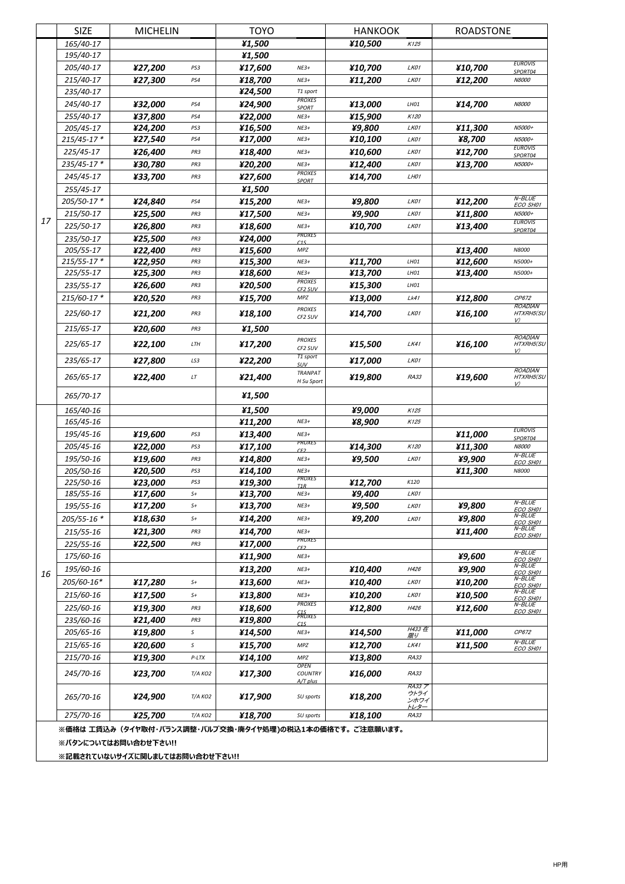|                      | <b>SIZE</b>     | <b>MICHELIN</b>                                          |             | <b>TOYO</b> |                                  | <b>HANKOOK</b> |                | <b>ROADSTONE</b> |                             |
|----------------------|-----------------|----------------------------------------------------------|-------------|-------------|----------------------------------|----------------|----------------|------------------|-----------------------------|
|                      | 165/40-17       |                                                          |             | ¥1,500      |                                  | ¥10,500        | K125           |                  |                             |
|                      | 195/40-17       |                                                          |             | ¥1,500      |                                  |                |                |                  |                             |
|                      | 205/40-17       | ¥27,200                                                  | PS3         | ¥17,600     | $NE3+$                           | ¥10,700        | LK01           | ¥10,700          | <b>EUROVIS</b><br>SPORT04   |
|                      | 215/40-17       | ¥27,300                                                  | PS4         | ¥18,700     | $NE3+$                           | ¥11,200        | LK01           | ¥12,200          | <b>N8000</b>                |
|                      | 235/40-17       |                                                          |             | ¥24,500     | T1 sport<br><b>PROXES</b>        |                |                |                  |                             |
|                      | 245/40-17       | ¥32,000                                                  | PS4         | ¥24,900     | <b>SPORT</b>                     | ¥13,000        | LH01           | ¥14,700          | <b>N8000</b>                |
|                      | 255/40-17       | ¥37,800                                                  | PS4         | ¥22,000     | $NE3+$                           | ¥15,900        | K120           |                  |                             |
|                      | 205/45-17       | ¥24,200                                                  | PS3         | ¥16,500     | $NE3+$                           | ¥9,800         | LK01           | ¥11,300          | N5000+                      |
|                      | 215/45-17 *     | ¥27,540                                                  | PS4         | ¥17,000     | $NE3+$                           | ¥10,100        | LK01           | ¥8,700           | N5000+<br><b>EUROVIS</b>    |
|                      | 225/45-17       | ¥26,400                                                  | PR3         | ¥18,400     | $NE3+$                           | ¥10,600        | LK01           | ¥12,700          | SPORT04                     |
|                      | 235/45-17*      | ¥30,780                                                  | PR3         | ¥20,200     | $NE3+$<br><b>PROXES</b>          | ¥12,400        | LK01           | ¥13,700          | N5000+                      |
|                      | 245/45-17       | ¥33,700                                                  | PR3         | ¥27,600     | <b>SPORT</b>                     | ¥14,700        | LH01           |                  |                             |
|                      | 255/45-17       |                                                          |             | ¥1,500      |                                  |                |                |                  |                             |
|                      | 205/50-17*      | ¥24,840                                                  | PS4         | ¥15,200     | $NE3+$                           | ¥9,800         | LK01           | ¥12,200          | N-BLUE<br>ECO SH01          |
| 17                   | 215/50-17       | ¥25,500                                                  | PR3         | ¥17,500     | $NE3+$                           | ¥9,900         | LK01           | ¥11,800          | N5000+                      |
|                      | 225/50-17       | ¥26,800                                                  | PR3         | ¥18,600     | $NE3+$                           | ¥10,700        | LK01           | ¥13,400          | <b>EUROVIS</b><br>SPORT04   |
|                      | 235/50-17       | ¥25,500                                                  | PR3         | ¥24,000     | PROXES<br>$\sqrt{15}$            |                |                |                  |                             |
|                      | 205/55-17       | ¥22,400                                                  | PR3         | ¥15,600     | MPZ                              |                |                | ¥13,400          | N8000                       |
|                      | $215/55 - 17$ * | ¥22,950                                                  | PR3         | ¥15,300     | $NE3+$                           | ¥11,700        | LH01           | ¥12,600          | N5000+                      |
|                      | 225/55-17       | ¥25,300                                                  | PR3         | ¥18,600     | $NE3+$<br><b>PROXES</b>          | ¥13,700        | LH01           | ¥13,400          | N5000+                      |
|                      | 235/55-17       | ¥26,600                                                  | PR3         | ¥20,500     | CF2 SUV                          | ¥15,300        | LH01           |                  |                             |
|                      | 215/60-17*      | ¥20,520                                                  | PR3         | ¥15,700     | MPZ                              | ¥13,000        | Lk41           | ¥12,800          | CP672<br><b>ROADIAN</b>     |
|                      | 225/60-17       | ¥21,200                                                  | PR3         | ¥18,100     | <b>PROXES</b><br>CF2 SUV         | ¥14,700        | LK01           | ¥16,100          | HTXRH5(SU                   |
|                      | 215/65-17       | ¥20,600                                                  | PR3         | ¥1,500      |                                  |                |                |                  | V)                          |
|                      | 225/65-17       | ¥22,100                                                  | LTH         | ¥17,200     | <b>PROXES</b>                    | ¥15,500        | LK41           | ¥16,100          | <b>ROADIAN</b><br>HTXRH5(SU |
|                      | 235/65-17       | ¥27,800                                                  | LS3         | ¥22,200     | CF2 SUV<br>T1 sport              | ¥17,000        | LK01           |                  | V                           |
|                      |                 |                                                          |             |             | SUV<br><b>TRANPAT</b>            |                |                |                  | <b>ROADIAN</b>              |
|                      | 265/65-17       | ¥22,400                                                  | LT          | ¥21,400     | H Su Sport                       | ¥19,800        | <b>RA33</b>    | ¥19,600          | HTXRH5(SU<br>V)             |
|                      | 265/70-17       |                                                          |             | ¥1,500      |                                  |                |                |                  |                             |
|                      | 165/40-16       |                                                          |             | ¥1,500      |                                  | ¥9,000         | K125           |                  |                             |
|                      | 165/45-16       |                                                          |             | ¥11,200     | $NE3+$                           | ¥8,900         | K125           |                  |                             |
|                      | 195/45-16       | ¥19,600                                                  | PS3         | ¥13,400     | $NE3+$                           |                |                | ¥11,000          | <b>EUROVIS</b><br>SPORT04   |
|                      | 205/45-16       | ¥22,000                                                  | PS3         | ¥17,100     | PROXES<br>CE <sub>2</sub>        | ¥14,300        | K120           | ¥11,300          | <b>N8000</b>                |
|                      | 195/50-16       | ¥19,600                                                  | PR3         | ¥14,800     | $NE3+$                           | ¥9,500         | LK01           | ¥9,900           | N-BLUE<br>ECO SH01          |
|                      | 205/50-16       | ¥20,500                                                  | PS3         | ¥14,100     | $NE3+$<br>PROXES                 |                |                | ¥11,300          | N8000                       |
|                      | 225/50-16       | ¥23,000                                                  | PS3         | ¥19,300     | T1R                              | ¥12,700        | K120           |                  |                             |
|                      | 185/55-16       | ¥17,600                                                  | $S+$        | ¥13,700     | $NE3+$                           | ¥9,400         | LK01           |                  | $N$ -BLUE                   |
|                      | 195/55-16       | ¥17,200                                                  | $S+$        | ¥13,700     | $NE3+$                           | ¥9,500         | LK01           | ¥9,800           | ECO SH01<br>$N$ -BLUE       |
|                      | 205/55-16 *     | ¥18,630                                                  | $S+$        | ¥14,200     | $NE3+$                           | ¥9,200         | LK01           | ¥9,800           | ECO SH01                    |
|                      | 215/55-16       | ¥21,300                                                  | PR3         | ¥14,700     | $NE3+$<br>PROXES                 |                |                | ¥11,400          | N-BLUE<br>ECO SH01          |
|                      | 225/55-16       | ¥22,500                                                  | PR3         | ¥17,000     | CF <sub>2</sub>                  |                |                |                  | N-BLUE                      |
|                      | 175/60-16       |                                                          |             | ¥11,900     | $NE3+$                           |                |                | ¥9,600           | ECO SH01                    |
| 16                   | 195/60-16       |                                                          |             | ¥13,200     | $NE3+$                           | ¥10,400        | H426           | ¥9,900           | N-BLUE<br>ECO SH01          |
|                      | 205/60-16*      | ¥17,280                                                  | $S+$        | ¥13,600     | $NE3+$                           | ¥10,400        | LK01           | ¥10,200          | $N$ -BLUE<br>ECO SH01       |
|                      | 215/60-16       | ¥17,500                                                  | $S+$        | ¥13,800     | $NE3+$                           | ¥10,200        | LK01           | ¥10,500          | N-BLUE<br>ECO SH01          |
|                      | 225/60-16       | ¥19,300                                                  | PR3         | ¥18,600     | <b>PROXES</b>                    | ¥12,800        | H426           | ¥12,600          | N-BLUE<br>ECO SH01          |
|                      | 235/60-16       | ¥21,400                                                  | PR3         | ¥19,800     | C <sub>1S</sub><br>PROXES<br>C1S |                |                |                  |                             |
|                      | 205/65-16       | ¥19,800                                                  | s           | ¥14,500     | $NE3+$                           | ¥14,500        | H433 在<br>限り   | ¥11,000          | CP672                       |
|                      | 215/65-16       | ¥20,600                                                  | $\mathsf S$ | ¥15,700     | MPZ                              | ¥12,700        | LK41           | ¥11,500          | N-BLUE<br>ECO SH01          |
|                      | 215/70-16       | ¥19,300                                                  | $P-LTX$     | ¥14,100     | MPZ                              | ¥13,800        | RA33           |                  |                             |
|                      | 245/70-16       | ¥23,700                                                  | Т/А КО2     | ¥17,300     | <b>OPEN</b><br><b>COUNTRY</b>    | ¥16,000        | <b>RA33</b>    |                  |                             |
|                      | 265/70-16       | ¥24,900                                                  | Т/А КО2     | ¥17,900     | A/T plus<br>SU sports            | ¥18,200        | RA33 ア<br>ウトライ |                  |                             |
|                      |                 |                                                          |             |             |                                  |                | ンホワイ<br>トレター   |                  |                             |
|                      | 275/70-16       | ¥25,700                                                  | Т/А КО2     | ¥18,700     | SU sports                        | ¥18,100        | RA33           |                  |                             |
|                      |                 | ※価格は 工賃込み(タイヤ取付・バランス調整・バルブ交換・廃タイヤ処理)の税込1本の価格です。 ご注意願います。 |             |             |                                  |                |                |                  |                             |
| ※パタンについてはお問い合わせ下さい!! |                 |                                                          |             |             |                                  |                |                |                  |                             |
|                      |                 | ※記載されていないサイズに関しましてはお問い合わせ下さい!!                           |             |             |                                  |                |                |                  |                             |